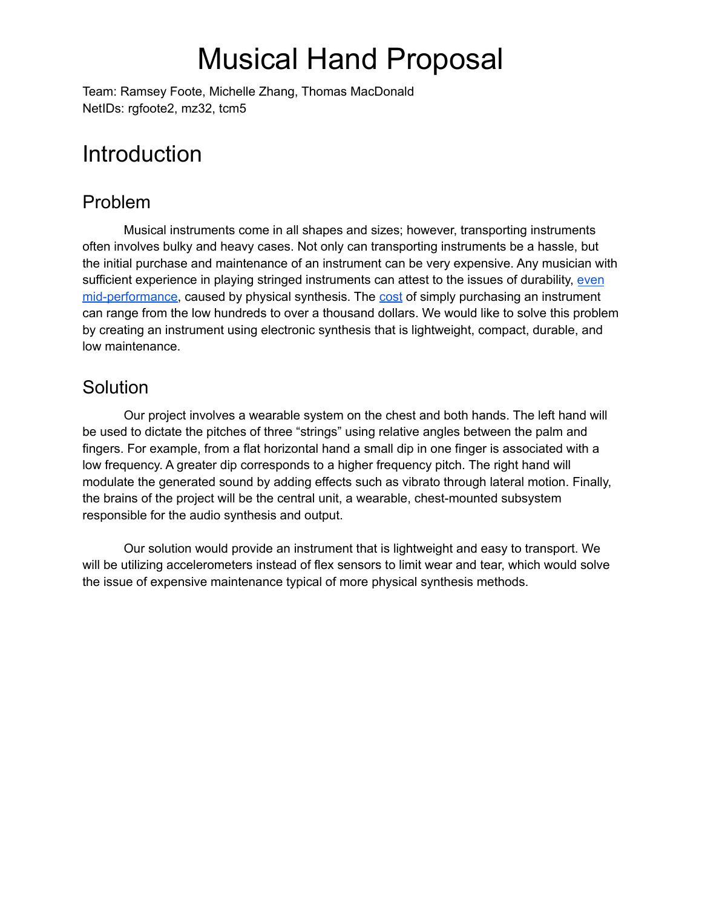# Musical Hand Proposal

Team: Ramsey Foote, Michelle Zhang, Thomas MacDonald NetIDs: rgfoote2, mz32, tcm5

## **Introduction**

### Problem

Musical instruments come in all shapes and sizes; however, transporting instruments often involves bulky and heavy cases. Not only can transporting instruments be a hassle, but the initial purchase and maintenance of an instrument can be very expensive. Any musician with sufficient experience in playing stringed instruments can attest to the issues of durability, [even](https://www.youtube.com/watch?v=wn1pk8Lpelc) [mid-performance](https://www.youtube.com/watch?v=wn1pk8Lpelc), caused by physical synthesis. The [cost](https://www.musicarts.com/cms/faq/instrument-rentals/how-much-does-my-instrument-cost/) of simply purchasing an instrument can range from the low hundreds to over a thousand dollars. We would like to solve this problem by creating an instrument using electronic synthesis that is lightweight, compact, durable, and low maintenance.

### **Solution**

Our project involves a wearable system on the chest and both hands. The left hand will be used to dictate the pitches of three "strings" using relative angles between the palm and fingers. For example, from a flat horizontal hand a small dip in one finger is associated with a low frequency. A greater dip corresponds to a higher frequency pitch. The right hand will modulate the generated sound by adding effects such as vibrato through lateral motion. Finally, the brains of the project will be the central unit, a wearable, chest-mounted subsystem responsible for the audio synthesis and output.

Our solution would provide an instrument that is lightweight and easy to transport. We will be utilizing accelerometers instead of flex sensors to limit wear and tear, which would solve the issue of expensive maintenance typical of more physical synthesis methods.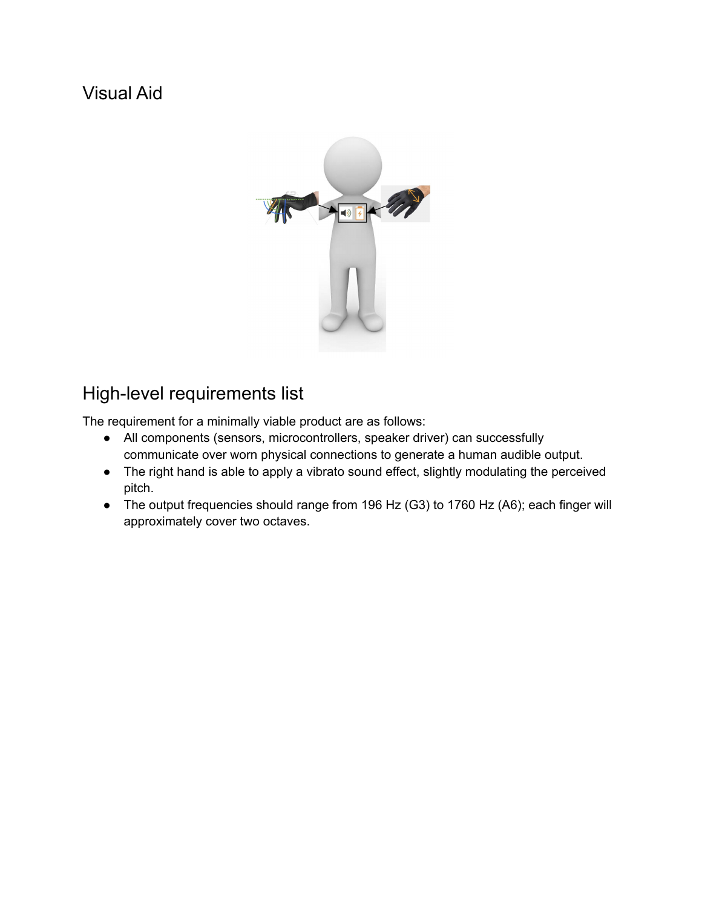## Visual Aid



## High-level requirements list

The requirement for a minimally viable product are as follows:

- All components (sensors, microcontrollers, speaker driver) can successfully communicate over worn physical connections to generate a human audible output.
- The right hand is able to apply a vibrato sound effect, slightly modulating the perceived pitch.
- The output frequencies should range from 196 Hz (G3) to 1760 Hz (A6); each finger will approximately cover two octaves.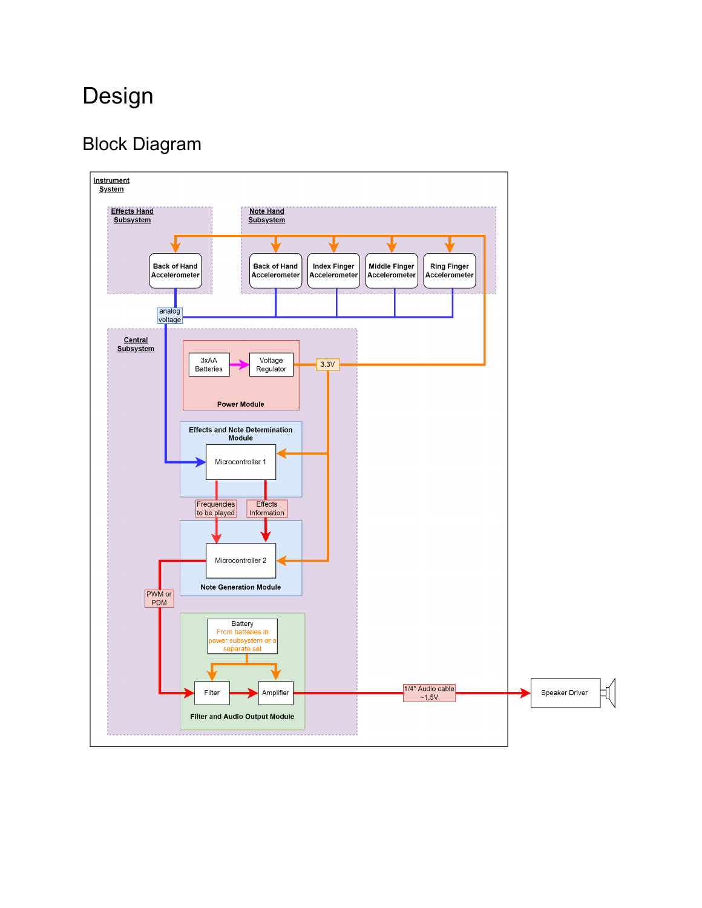## Design

## Block Diagram

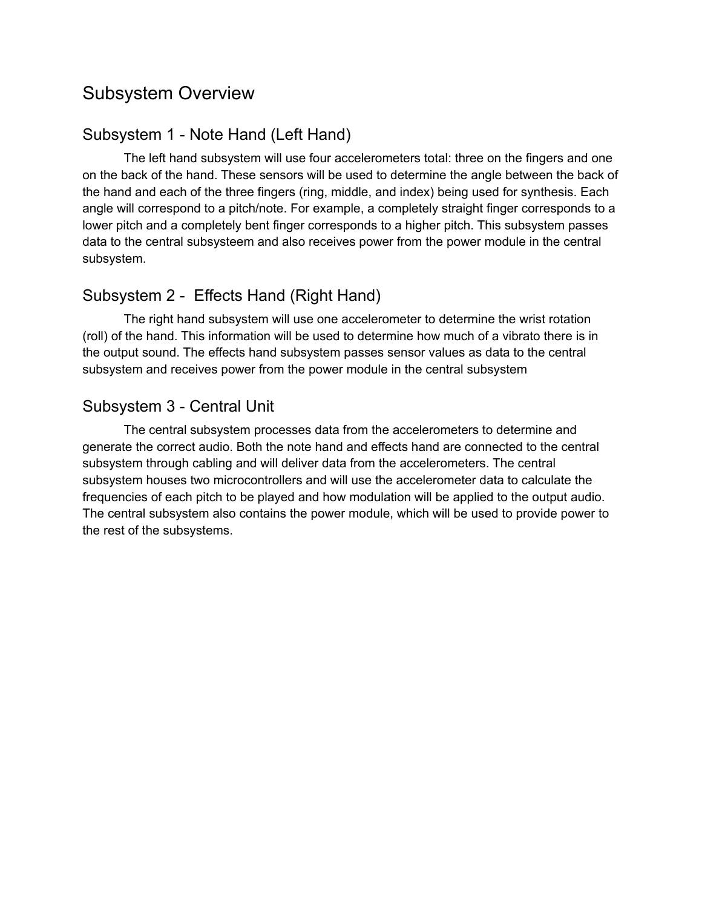### Subsystem Overview

#### Subsystem 1 - Note Hand (Left Hand)

The left hand subsystem will use four accelerometers total: three on the fingers and one on the back of the hand. These sensors will be used to determine the angle between the back of the hand and each of the three fingers (ring, middle, and index) being used for synthesis. Each angle will correspond to a pitch/note. For example, a completely straight finger corresponds to a lower pitch and a completely bent finger corresponds to a higher pitch. This subsystem passes data to the central subsysteem and also receives power from the power module in the central subsystem.

#### Subsystem 2 - Effects Hand (Right Hand)

The right hand subsystem will use one accelerometer to determine the wrist rotation (roll) of the hand. This information will be used to determine how much of a vibrato there is in the output sound. The effects hand subsystem passes sensor values as data to the central subsystem and receives power from the power module in the central subsystem

#### Subsystem 3 - Central Unit

The central subsystem processes data from the accelerometers to determine and generate the correct audio. Both the note hand and effects hand are connected to the central subsystem through cabling and will deliver data from the accelerometers. The central subsystem houses two microcontrollers and will use the accelerometer data to calculate the frequencies of each pitch to be played and how modulation will be applied to the output audio. The central subsystem also contains the power module, which will be used to provide power to the rest of the subsystems.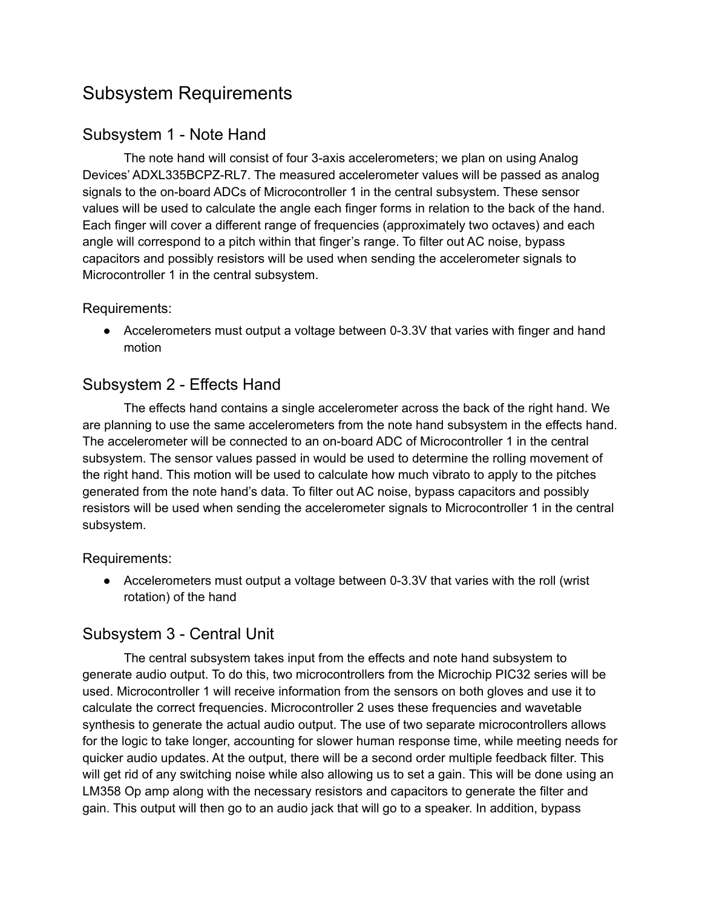## Subsystem Requirements

#### Subsystem 1 - Note Hand

The note hand will consist of four 3-axis accelerometers; we plan on using Analog Devices' ADXL335BCPZ-RL7. The measured accelerometer values will be passed as analog signals to the on-board ADCs of Microcontroller 1 in the central subsystem. These sensor values will be used to calculate the angle each finger forms in relation to the back of the hand. Each finger will cover a different range of frequencies (approximately two octaves) and each angle will correspond to a pitch within that finger's range. To filter out AC noise, bypass capacitors and possibly resistors will be used when sending the accelerometer signals to Microcontroller 1 in the central subsystem.

#### Requirements:

• Accelerometers must output a voltage between 0-3.3V that varies with finger and hand motion

#### Subsystem 2 - Effects Hand

The effects hand contains a single accelerometer across the back of the right hand. We are planning to use the same accelerometers from the note hand subsystem in the effects hand. The accelerometer will be connected to an on-board ADC of Microcontroller 1 in the central subsystem. The sensor values passed in would be used to determine the rolling movement of the right hand. This motion will be used to calculate how much vibrato to apply to the pitches generated from the note hand's data. To filter out AC noise, bypass capacitors and possibly resistors will be used when sending the accelerometer signals to Microcontroller 1 in the central subsystem.

Requirements:

● Accelerometers must output a voltage between 0-3.3V that varies with the roll (wrist rotation) of the hand

#### Subsystem 3 - Central Unit

The central subsystem takes input from the effects and note hand subsystem to generate audio output. To do this, two microcontrollers from the Microchip PIC32 series will be used. Microcontroller 1 will receive information from the sensors on both gloves and use it to calculate the correct frequencies. Microcontroller 2 uses these frequencies and wavetable synthesis to generate the actual audio output. The use of two separate microcontrollers allows for the logic to take longer, accounting for slower human response time, while meeting needs for quicker audio updates. At the output, there will be a second order multiple feedback filter. This will get rid of any switching noise while also allowing us to set a gain. This will be done using an LM358 Op amp along with the necessary resistors and capacitors to generate the filter and gain. This output will then go to an audio jack that will go to a speaker. In addition, bypass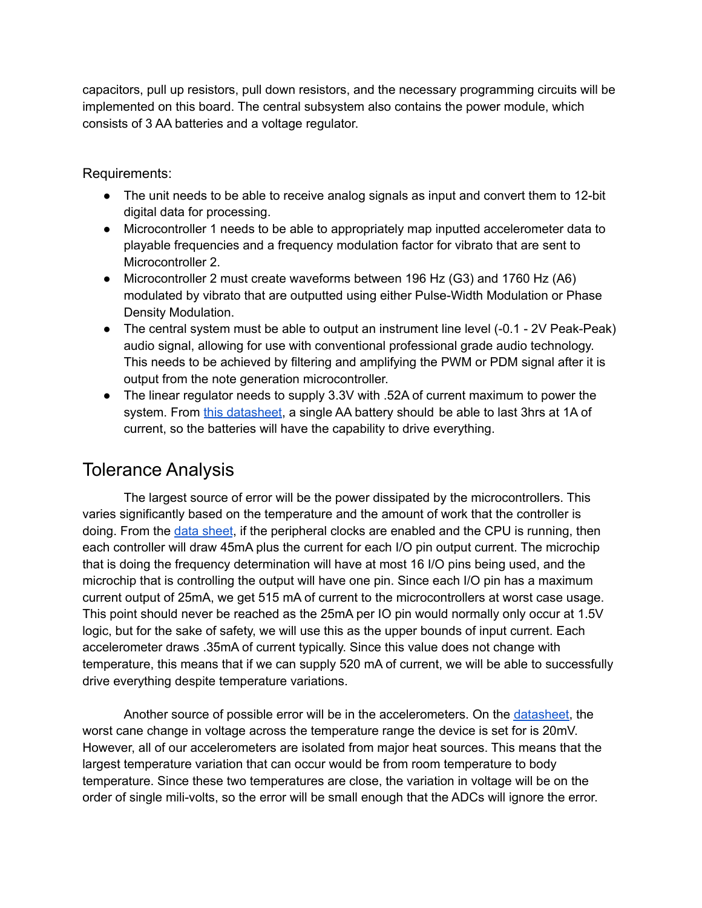capacitors, pull up resistors, pull down resistors, and the necessary programming circuits will be implemented on this board. The central subsystem also contains the power module, which consists of 3 AA batteries and a voltage regulator.

Requirements:

- The unit needs to be able to receive analog signals as input and convert them to 12-bit digital data for processing.
- Microcontroller 1 needs to be able to appropriately map inputted accelerometer data to playable frequencies and a frequency modulation factor for vibrato that are sent to Microcontroller 2.
- Microcontroller 2 must create waveforms between 196 Hz (G3) and 1760 Hz (A6) modulated by vibrato that are outputted using either Pulse-Width Modulation or Phase Density Modulation.
- The central system must be able to output an instrument line level (-0.1 2V Peak-Peak) audio signal, allowing for use with conventional professional grade audio technology. This needs to be achieved by filtering and amplifying the PWM or PDM signal after it is output from the note generation microcontroller.
- The linear regulator needs to supply 3.3V with .52A of current maximum to power the system. From this [datasheet](https://data.energizer.com/pdfs/lithiuml91l92_appman.pdf), a single AA battery should be able to last 3hrs at 1A of current, so the batteries will have the capability to drive everything.

## Tolerance Analysis

The largest source of error will be the power dissipated by the microcontrollers. This varies significantly based on the temperature and the amount of work that the controller is doing. From the data [sheet](https://ww1.microchip.com/downloads/en/DeviceDoc/PIC32MK_GP_MC_Familly_Datasheet_60001402G.pdf), if the peripheral clocks are enabled and the CPU is running, then each controller will draw 45mA plus the current for each I/O pin output current. The microchip that is doing the frequency determination will have at most 16 I/O pins being used, and the microchip that is controlling the output will have one pin. Since each I/O pin has a maximum current output of 25mA, we get 515 mA of current to the microcontrollers at worst case usage. This point should never be reached as the 25mA per IO pin would normally only occur at 1.5V logic, but for the sake of safety, we will use this as the upper bounds of input current. Each accelerometer draws .35mA of current typically. Since this value does not change with temperature, this means that if we can supply 520 mA of current, we will be able to successfully drive everything despite temperature variations.

Another source of possible error will be in the accelerometers. On the [datasheet,](https://www.analog.com/media/en/technical-documentation/data-sheets/ADXL335.pdf) the worst cane change in voltage across the temperature range the device is set for is 20mV. However, all of our accelerometers are isolated from major heat sources. This means that the largest temperature variation that can occur would be from room temperature to body temperature. Since these two temperatures are close, the variation in voltage will be on the order of single mili-volts, so the error will be small enough that the ADCs will ignore the error.